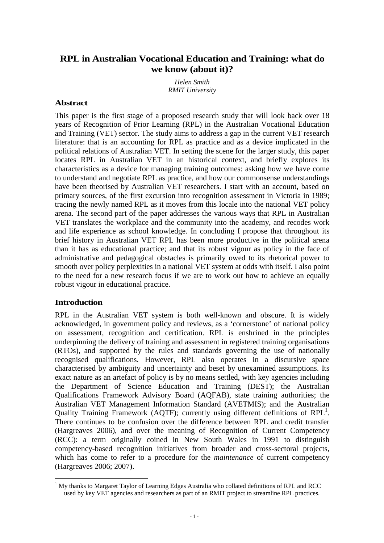# **RPL in Australian Vocational Education and Training: what do we know (about it)?**

*Helen Smith RMIT University* 

## **Abstract**

This paper is the first stage of a proposed research study that will look back over 18 years of Recognition of Prior Learning (RPL) in the Australian Vocational Education and Training (VET) sector. The study aims to address a gap in the current VET research literature: that is an accounting for RPL as practice and as a device implicated in the political relations of Australian VET. In setting the scene for the larger study, this paper locates RPL in Australian VET in an historical context, and briefly explores its characteristics as a device for managing training outcomes: asking how we have come to understand and negotiate RPL as practice, and how our commonsense understandings have been theorised by Australian VET researchers. I start with an account, based on primary sources, of the first excursion into recognition assessment in Victoria in 1989; tracing the newly named RPL as it moves from this locale into the national VET policy arena. The second part of the paper addresses the various ways that RPL in Australian VET translates the workplace and the community into the academy, and recodes work and life experience as school knowledge. In concluding I propose that throughout its brief history in Australian VET RPL has been more productive in the political arena than it has as educational practice; and that its robust vigour as policy in the face of administrative and pedagogical obstacles is primarily owed to its rhetorical power to smooth over policy perplexities in a national VET system at odds with itself. I also point to the need for a new research focus if we are to work out how to achieve an equally robust vigour in educational practice.

## **Introduction**

RPL in the Australian VET system is both well-known and obscure. It is widely acknowledged, in government policy and reviews, as a 'cornerstone' of national policy on assessment, recognition and certification. RPL is enshrined in the principles underpinning the delivery of training and assessment in registered training organisations (RTOs), and supported by the rules and standards governing the use of nationally recognised qualifications. However, RPL also operates in a discursive space characterised by ambiguity and uncertainty and beset by unexamined assumptions. Its exact nature as an artefact of policy is by no means settled, with key agencies including the Department of Science Education and Training (DEST); the Australian Qualifications Framework Advisory Board (AQFAB), state training authorities; the Australian VET Management Information Standard (AVETMIS); and the Australian Quality Training Framework (AQTF); currently using different definitions of  $RPL<sup>1</sup>$ . There continues to be confusion over the difference between RPL and credit transfer (Hargreaves 2006), and over the meaning of Recognition of Current Competency (RCC): a term originally coined in New South Wales in 1991 to distinguish competency-based recognition initiatives from broader and cross-sectoral projects, which has come to refer to a procedure for the *maintenance* of current competency (Hargreaves 2006; 2007).

 $\overline{a}$ <sup>1</sup> My thanks to Margaret Taylor of Learning Edges Australia who collated definitions of RPL and RCC used by key VET agencies and researchers as part of an RMIT project to streamline RPL practices.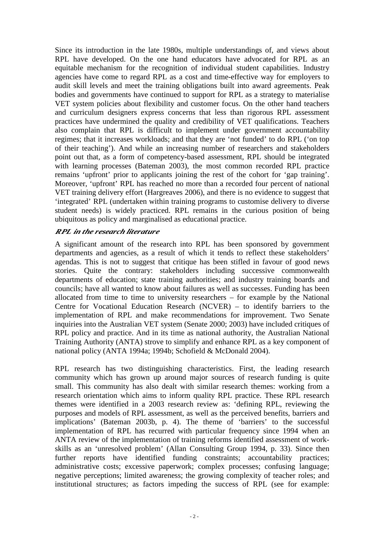Since its introduction in the late 1980s, multiple understandings of, and views about RPL have developed. On the one hand educators have advocated for RPL as an equitable mechanism for the recognition of individual student capabilities. Industry agencies have come to regard RPL as a cost and time-effective way for employers to audit skill levels and meet the training obligations built into award agreements. Peak bodies and governments have continued to support for RPL as a strategy to materialise VET system policies about flexibility and customer focus. On the other hand teachers and curriculum designers express concerns that less than rigorous RPL assessment practices have undermined the quality and credibility of VET qualifications. Teachers also complain that RPL is difficult to implement under government accountability regimes; that it increases workloads; and that they are 'not funded' to do RPL ('on top of their teaching'). And while an increasing number of researchers and stakeholders point out that, as a form of competency-based assessment, RPL should be integrated with learning processes (Bateman 2003), the most common recorded RPL practice remains 'upfront' prior to applicants joining the rest of the cohort for 'gap training'. Moreover, 'upfront' RPL has reached no more than a recorded four percent of national VET training delivery effort (Hargreaves 2006), and there is no evidence to suggest that 'integrated' RPL (undertaken within training programs to customise delivery to diverse student needs) is widely practiced. RPL remains in the curious position of being ubiquitous as policy and marginalised as educational practice.

## *RPL in the research literature*

A significant amount of the research into RPL has been sponsored by government departments and agencies, as a result of which it tends to reflect these stakeholders' agendas. This is not to suggest that critique has been stifled in favour of good news stories. Quite the contrary: stakeholders including successive commonwealth departments of education; state training authorities; and industry training boards and councils; have all wanted to know about failures as well as successes. Funding has been allocated from time to time to university researchers – for example by the National Centre for Vocational Education Research (NCVER) – to identify barriers to the implementation of RPL and make recommendations for improvement. Two Senate inquiries into the Australian VET system (Senate 2000; 2003) have included critiques of RPL policy and practice. And in its time as national authority, the Australian National Training Authority (ANTA) strove to simplify and enhance RPL as a key component of national policy (ANTA 1994a; 1994b; Schofield & McDonald 2004).

RPL research has two distinguishing characteristics. First, the leading research community which has grown up around major sources of research funding is quite small. This community has also dealt with similar research themes: working from a research orientation which aims to inform quality RPL practice. These RPL research themes were identified in a 2003 research review as: 'defining RPL, reviewing the purposes and models of RPL assessment, as well as the perceived benefits, barriers and implications' (Bateman 2003b, p. 4). The theme of 'barriers' to the successful implementation of RPL has recurred with particular frequency since 1994 when an ANTA review of the implementation of training reforms identified assessment of workskills as an 'unresolved problem' (Allan Consulting Group 1994, p. 33). Since then further reports have identified funding constraints; accountability practices; administrative costs; excessive paperwork; complex processes; confusing language; negative perceptions; limited awareness; the growing complexity of teacher roles; and institutional structures; as factors impeding the success of RPL (see for example: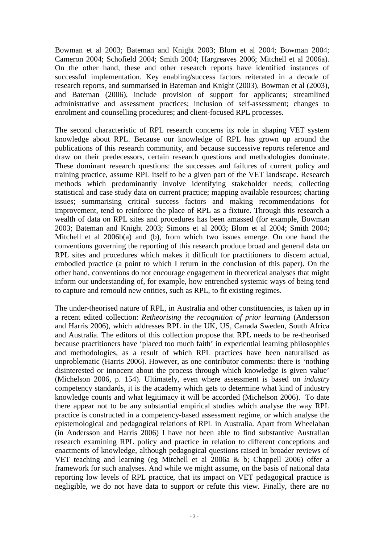Bowman et al 2003; Bateman and Knight 2003; Blom et al 2004; Bowman 2004; Cameron 2004; Schofield 2004; Smith 2004; Hargreaves 2006; Mitchell et al 2006a). On the other hand, these and other research reports have identified instances of successful implementation. Key enabling/success factors reiterated in a decade of research reports, and summarised in Bateman and Knight (2003), Bowman et al (2003), and Bateman (2006), include provision of support for applicants; streamlined administrative and assessment practices; inclusion of self-assessment; changes to enrolment and counselling procedures; and client-focused RPL processes.

The second characteristic of RPL research concerns its role in shaping VET system knowledge about RPL. Because our knowledge of RPL has grown up around the publications of this research community, and because successive reports reference and draw on their predecessors, certain research questions and methodologies dominate. These dominant research questions: the successes and failures of current policy and training practice, assume RPL itself to be a given part of the VET landscape. Research methods which predominantly involve identifying stakeholder needs; collecting statistical and case study data on current practice; mapping available resources; charting issues; summarising critical success factors and making recommendations for improvement, tend to reinforce the place of RPL as a fixture. Through this research a wealth of data on RPL sites and procedures has been amassed (for example, Bowman 2003; Bateman and Knight 2003; Simons et al 2003; Blom et al 2004; Smith 2004; Mitchell et al 2006b(a) and (b), from which two issues emerge. On one hand the conventions governing the reporting of this research produce broad and general data on RPL sites and procedures which makes it difficult for practitioners to discern actual, embodied practice (a point to which I return in the conclusion of this paper). On the other hand, conventions do not encourage engagement in theoretical analyses that might inform our understanding of, for example, how entrenched systemic ways of being tend to capture and remould new entities, such as RPL, to fit existing regimes.

The under-theorised nature of RPL, in Australia and other constituencies, is taken up in a recent edited collection: *Retheorising the recognition of prior learning* (Andersson and Harris 2006), which addresses RPL in the UK, US, Canada Sweden, South Africa and Australia. The editors of this collection propose that RPL needs to be re-theorised because practitioners have 'placed too much faith' in experiential learning philosophies and methodologies, as a result of which RPL practices have been naturalised as unproblematic (Harris 2006). However, as one contributor comments: there is 'nothing disinterested or innocent about the process through which knowledge is given value' (Michelson 2006, p. 154). Ultimately, even where assessment is based on *industry* competency standards, it is the academy which gets to determine what kind of industry knowledge counts and what legitimacy it will be accorded (Michelson 2006). To date there appear not to be any substantial empirical studies which analyse the way RPL practice is constructed in a competency-based assessment regime, or which analyse the epistemological and pedagogical relations of RPL in Australia. Apart from Wheelahan (in Andersson and Harris 2006) I have not been able to find substantive Australian research examining RPL policy and practice in relation to different conceptions and enactments of knowledge, although pedagogical questions raised in broader reviews of VET teaching and learning (eg Mitchell et al 2006a & b; Chappell 2006) offer a framework for such analyses. And while we might assume, on the basis of national data reporting low levels of RPL practice, that its impact on VET pedagogical practice is negligible, we do not have data to support or refute this view. Finally, there are no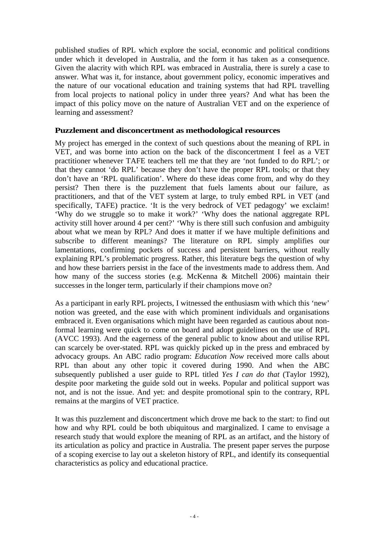published studies of RPL which explore the social, economic and political conditions under which it developed in Australia, and the form it has taken as a consequence. Given the alacrity with which RPL was embraced in Australia, there is surely a case to answer. What was it, for instance, about government policy, economic imperatives and the nature of our vocational education and training systems that had RPL travelling from local projects to national policy in under three years? And what has been the impact of this policy move on the nature of Australian VET and on the experience of learning and assessment?

## **Puzzlement and disconcertment as methodological resources**

My project has emerged in the context of such questions about the meaning of RPL in VET, and was borne into action on the back of the disconcertment I feel as a VET practitioner whenever TAFE teachers tell me that they are 'not funded to do RPL'; or that they cannot 'do RPL' because they don't have the proper RPL tools; or that they don't have an 'RPL qualification'. Where do these ideas come from, and why do they persist? Then there is the puzzlement that fuels laments about our failure, as practitioners, and that of the VET system at large, to truly embed RPL in VET (and specifically, TAFE) practice. 'It is the very bedrock of VET pedagogy' we exclaim! 'Why do we struggle so to make it work?' 'Why does the national aggregate RPL activity still hover around 4 per cent?' 'Why is there still such confusion and ambiguity about what we mean by RPL? And does it matter if we have multiple definitions and subscribe to different meanings? The literature on RPL simply amplifies our lamentations, confirming pockets of success and persistent barriers, without really explaining RPL's problematic progress. Rather, this literature begs the question of why and how these barriers persist in the face of the investments made to address them. And how many of the success stories (e.g. McKenna & Mitchell 2006) maintain their successes in the longer term, particularly if their champions move on?

As a participant in early RPL projects, I witnessed the enthusiasm with which this 'new' notion was greeted, and the ease with which prominent individuals and organisations embraced it. Even organisations which might have been regarded as cautious about nonformal learning were quick to come on board and adopt guidelines on the use of RPL (AVCC 1993). And the eagerness of the general public to know about and utilise RPL can scarcely be over-stated. RPL was quickly picked up in the press and embraced by advocacy groups. An ABC radio program: *Education Now* received more calls about RPL than about any other topic it covered during 1990. And when the ABC subsequently published a user guide to RPL titled *Yes I can do that* (Taylor 1992), despite poor marketing the guide sold out in weeks. Popular and political support was not, and is not the issue. And yet: and despite promotional spin to the contrary, RPL remains at the margins of VET practice.

It was this puzzlement and disconcertment which drove me back to the start: to find out how and why RPL could be both ubiquitous and marginalized. I came to envisage a research study that would explore the meaning of RPL as an artifact, and the history of its articulation as policy and practice in Australia. The present paper serves the purpose of a scoping exercise to lay out a skeleton history of RPL, and identify its consequential characteristics as policy and educational practice.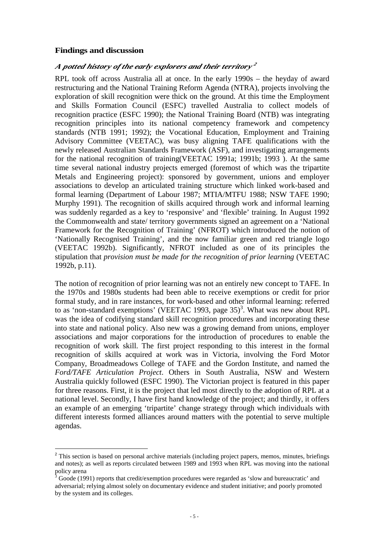#### **Findings and discussion**

#### $A$  potted history of the early explorers and their territory  $^2$

RPL took off across Australia all at once. In the early 1990s – the heyday of award restructuring and the National Training Reform Agenda (NTRA), projects involving the exploration of skill recognition were thick on the ground. At this time the Employment and Skills Formation Council (ESFC) travelled Australia to collect models of recognition practice (ESFC 1990); the National Training Board (NTB) was integrating recognition principles into its national competency framework and competency standards (NTB 1991; 1992); the Vocational Education, Employment and Training Advisory Committee (VEETAC), was busy aligning TAFE qualifications with the newly released Australian Standards Framework (ASF), and investigating arrangements for the national recognition of training(VEETAC 1991a; 1991b; 1993 ). At the same time several national industry projects emerged (foremost of which was the tripartite Metals and Engineering project): sponsored by government, unions and employer associations to develop an articulated training structure which linked work-based and formal learning (Department of Labour 1987; MTIA/MTFU 1988; NSW TAFE 1990; Murphy 1991). The recognition of skills acquired through work and informal learning was suddenly regarded as a key to 'responsive' and 'flexible' training. In August 1992 the Commonwealth and state/ territory governments signed an agreement on a 'National Framework for the Recognition of Training' (NFROT) which introduced the notion of 'Nationally Recognised Training', and the now familiar green and red triangle logo (VEETAC 1992b). Significantly, NFROT included as one of its principles the stipulation that *provision must be made for the recognition of prior learning* (VEETAC 1992b, p.11).

The notion of recognition of prior learning was not an entirely new concept to TAFE. In the 1970s and 1980s students had been able to receive exemptions or credit for prior formal study, and in rare instances, for work-based and other informal learning: referred to as 'non-standard exemptions' (VEETAC 1993, page  $35$ )<sup>3</sup>. What was new about RPL was the idea of codifying standard skill recognition procedures and incorporating these into state and national policy. Also new was a growing demand from unions, employer associations and major corporations for the introduction of procedures to enable the recognition of work skill. The first project responding to this interest in the formal recognition of skills acquired at work was in Victoria, involving the Ford Motor Company, Broadmeadows College of TAFE and the Gordon Institute, and named the *Ford/TAFE Articulation Project*. Others in South Australia, NSW and Western Australia quickly followed (ESFC 1990). The Victorian project is featured in this paper for three reasons. First, it is the project that led most directly to the adoption of RPL at a national level. Secondly, I have first hand knowledge of the project; and thirdly, it offers an example of an emerging 'tripartite' change strategy through which individuals with different interests formed alliances around matters with the potential to serve multiple agendas.

 $\overline{a}$ <sup>2</sup> This section is based on personal archive materials (including project papers, memos, minutes, briefings and notes); as well as reports circulated between 1989 and 1993 when RPL was moving into the national policy arena<br><sup>3</sup> Geode (100

Goode (1991) reports that credit/exemption procedures were regarded as 'slow and bureaucratic' and adversarial; relying almost solely on documentary evidence and student initiative; and poorly promoted by the system and its colleges.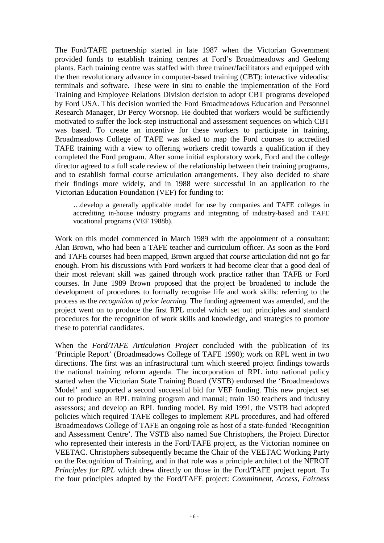The Ford/TAFE partnership started in late 1987 when the Victorian Government provided funds to establish training centres at Ford's Broadmeadows and Geelong plants. Each training centre was staffed with three trainer/facilitators and equipped with the then revolutionary advance in computer-based training (CBT): interactive videodisc terminals and software. These were in situ to enable the implementation of the Ford Training and Employee Relations Division decision to adopt CBT programs developed by Ford USA. This decision worried the Ford Broadmeadows Education and Personnel Research Manager, Dr Percy Worsnop. He doubted that workers would be sufficiently motivated to suffer the lock-step instructional and assessment sequences on which CBT was based. To create an incentive for these workers to participate in training, Broadmeadows College of TAFE was asked to map the Ford courses to accredited TAFE training with a view to offering workers credit towards a qualification if they completed the Ford program. After some initial exploratory work, Ford and the college director agreed to a full scale review of the relationship between their training programs, and to establish formal course articulation arrangements. They also decided to share their findings more widely, and in 1988 were successful in an application to the Victorian Education Foundation (VEF) for funding to:

…develop a generally applicable model for use by companies and TAFE colleges in accrediting in-house industry programs and integrating of industry-based and TAFE vocational programs (VEF 1988b).

Work on this model commenced in March 1989 with the appointment of a consultant: Alan Brown, who had been a TAFE teacher and curriculum officer. As soon as the Ford and TAFE courses had been mapped, Brown argued that *course* articulation did not go far enough. From his discussions with Ford workers it had become clear that a good deal of their most relevant skill was gained through work practice rather than TAFE or Ford courses. In June 1989 Brown proposed that the project be broadened to include the development of procedures to formally recognise life and work skills: referring to the process as the *recognition of prior learning.* The funding agreement was amended, and the project went on to produce the first RPL model which set out principles and standard procedures for the recognition of work skills and knowledge, and strategies to promote these to potential candidates.

When the *Ford/TAFE Articulation Project* concluded with the publication of its 'Principle Report' (Broadmeadows College of TAFE 1990); work on RPL went in two directions. The first was an infrastructural turn which steered project findings towards the national training reform agenda. The incorporation of RPL into national policy started when the Victorian State Training Board (VSTB) endorsed the 'Broadmeadows Model' and supported a second successful bid for VEF funding. This new project set out to produce an RPL training program and manual; train 150 teachers and industry assessors; and develop an RPL funding model. By mid 1991, the VSTB had adopted policies which required TAFE colleges to implement RPL procedures, and had offered Broadmeadows College of TAFE an ongoing role as host of a state-funded 'Recognition and Assessment Centre'. The VSTB also named Sue Christophers, the Project Director who represented their interests in the Ford/TAFE project, as the Victorian nominee on VEETAC. Christophers subsequently became the Chair of the VEETAC Working Party on the Recognition of Training, and in that role was a principle architect of the NFROT *Principles for RPL* which drew directly on those in the Ford/TAFE project report. To the four principles adopted by the Ford/TAFE project: *Commitment*, *Access*, *Fairness*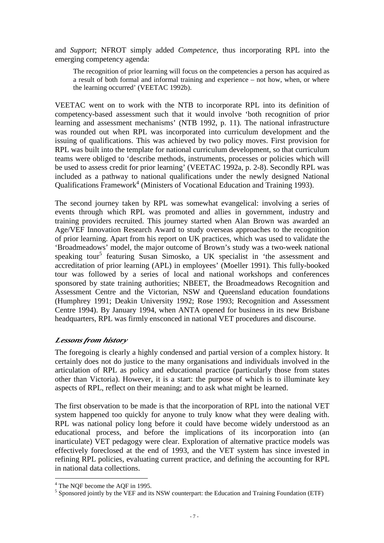and *Support*; NFROT simply added *Competence,* thus incorporating RPL into the emerging competency agenda:

The recognition of prior learning will focus on the competencies a person has acquired as a result of both formal and informal training and experience – not how, when, or where the learning occurred' (VEETAC 1992b).

VEETAC went on to work with the NTB to incorporate RPL into its definition of competency-based assessment such that it would involve 'both recognition of prior learning and assessment mechanisms' (NTB 1992, p. 11). The national infrastructure was rounded out when RPL was incorporated into curriculum development and the issuing of qualifications. This was achieved by two policy moves. First provision for RPL was built into the template for national curriculum development, so that curriculum teams were obliged to 'describe methods, instruments, processes or policies which will be used to assess credit for prior learning' (VEETAC 1992a, p. 2-8). Secondly RPL was included as a pathway to national qualifications under the newly designed National Qualifications Framework<sup>4</sup> (Ministers of Vocational Education and Training 1993).

The second journey taken by RPL was somewhat evangelical: involving a series of events through which RPL was promoted and allies in government, industry and training providers recruited. This journey started when Alan Brown was awarded an Age/VEF Innovation Research Award to study overseas approaches to the recognition of prior learning. Apart from his report on UK practices, which was used to validate the 'Broadmeadows' model, the major outcome of Brown's study was a two-week national speaking tour<sup>5</sup> featuring Susan Simosko, a UK specialist in 'the assessment and accreditation of prior learning (APL) in employees' (Moeller 1991). This fully-booked tour was followed by a series of local and national workshops and conferences sponsored by state training authorities; NBEET, the Broadmeadows Recognition and Assessment Centre and the Victorian, NSW and Queensland education foundations (Humphrey 1991; Deakin University 1992; Rose 1993; Recognition and Assessment Centre 1994). By January 1994, when ANTA opened for business in its new Brisbane headquarters, RPL was firmly ensconced in national VET procedures and discourse.

## *Lessons from history*

The foregoing is clearly a highly condensed and partial version of a complex history. It certainly does not do justice to the many organisations and individuals involved in the articulation of RPL as policy and educational practice (particularly those from states other than Victoria). However, it is a start: the purpose of which is to illuminate key aspects of RPL, reflect on their meaning; and to ask what might be learned.

The first observation to be made is that the incorporation of RPL into the national VET system happened too quickly for anyone to truly know what they were dealing with. RPL was national policy long before it could have become widely understood as an educational process, and before the implications of its incorporation into (an inarticulate) VET pedagogy were clear. Exploration of alternative practice models was effectively foreclosed at the end of 1993, and the VET system has since invested in refining RPL policies, evaluating current practice, and defining the accounting for RPL in national data collections.

 4 The NQF become the AQF in 1995.

 $<sup>5</sup>$  Sponsored jointly by the VEF and its NSW counterpart: the Education and Training Foundation (ETF)</sup>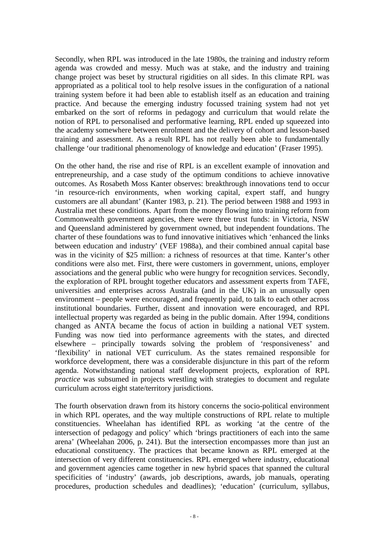Secondly, when RPL was introduced in the late 1980s, the training and industry reform agenda was crowded and messy. Much was at stake, and the industry and training change project was beset by structural rigidities on all sides. In this climate RPL was appropriated as a political tool to help resolve issues in the configuration of a national training system before it had been able to establish itself as an education and training practice. And because the emerging industry focussed training system had not yet embarked on the sort of reforms in pedagogy and curriculum that would relate the notion of RPL to personalised and performative learning, RPL ended up squeezed into the academy somewhere between enrolment and the delivery of cohort and lesson-based training and assessment. As a result RPL has not really been able to fundamentally challenge 'our traditional phenomenology of knowledge and education' (Fraser 1995).

On the other hand, the rise and rise of RPL is an excellent example of innovation and entrepreneurship, and a case study of the optimum conditions to achieve innovative outcomes. As Rosabeth Moss Kanter observes: breakthrough innovations tend to occur 'in resource-rich environments, when working capital, expert staff, and hungry customers are all abundant' (Kanter 1983, p. 21). The period between 1988 and 1993 in Australia met these conditions. Apart from the money flowing into training reform from Commonwealth government agencies, there were three trust funds: in Victoria, NSW and Queensland administered by government owned, but independent foundations. The charter of these foundations was to fund innovative initiatives which 'enhanced the links between education and industry' (VEF 1988a), and their combined annual capital base was in the vicinity of \$25 million: a richness of resources at that time. Kanter's other conditions were also met. First, there were customers in government, unions, employer associations and the general public who were hungry for recognition services. Secondly, the exploration of RPL brought together educators and assessment experts from TAFE, universities and enterprises across Australia (and in the UK) in an unusually open environment – people were encouraged, and frequently paid, to talk to each other across institutional boundaries. Further, dissent and innovation were encouraged, and RPL intellectual property was regarded as being in the public domain. After 1994, conditions changed as ANTA became the focus of action in building a national VET system. Funding was now tied into performance agreements with the states, and directed elsewhere – principally towards solving the problem of 'responsiveness' and 'flexibility' in national VET curriculum. As the states remained responsible for workforce development, there was a considerable disjuncture in this part of the reform agenda. Notwithstanding national staff development projects, exploration of RPL *practice* was subsumed in projects wrestling with strategies to document and regulate curriculum across eight state/territory jurisdictions.

The fourth observation drawn from its history concerns the socio-political environment in which RPL operates, and the way multiple constructions of RPL relate to multiple constituencies. Wheelahan has identified RPL as working 'at the centre of the intersection of pedagogy and policy' which 'brings practitioners of each into the same arena' (Wheelahan 2006, p. 241). But the intersection encompasses more than just an educational constituency. The practices that became known as RPL emerged at the intersection of very different constituencies. RPL emerged where industry, educational and government agencies came together in new hybrid spaces that spanned the cultural specificities of 'industry' (awards, job descriptions, awards, job manuals, operating procedures, production schedules and deadlines); 'education' (curriculum, syllabus,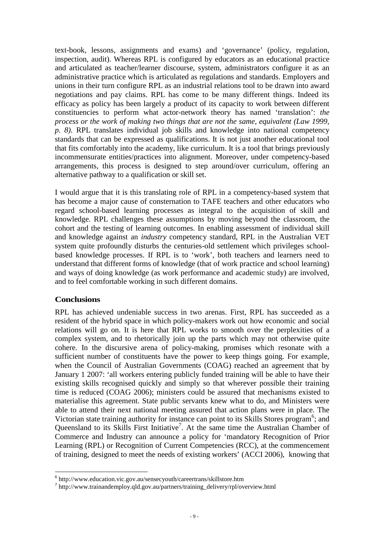text-book, lessons, assignments and exams) and 'governance' (policy, regulation, inspection, audit). Whereas RPL is configured by educators as an educational practice and articulated as teacher/learner discourse, system, administrators configure it as an administrative practice which is articulated as regulations and standards. Employers and unions in their turn configure RPL as an industrial relations tool to be drawn into award negotiations and pay claims. RPL has come to be many different things. Indeed its efficacy as policy has been largely a product of its capacity to work between different constituencies to perform what actor-network theory has named 'translation': *the process or the work of making two things that are not the same, equivalent (Law 1999, p. 8)*. RPL translates individual job skills and knowledge into national competency standards that can be expressed as qualifications. It is not just another educational tool that fits comfortably into the academy, like curriculum. It is a tool that brings previously incommensurate entities/practices into alignment. Moreover, under competency-based arrangements, this process is designed to step around/over curriculum, offering an alternative pathway to a qualification or skill set.

I would argue that it is this translating role of RPL in a competency-based system that has become a major cause of consternation to TAFE teachers and other educators who regard school-based learning processes as integral to the acquisition of skill and knowledge. RPL challenges these assumptions by moving beyond the classroom, the cohort and the testing of learning outcomes. In enabling assessment of individual skill and knowledge against an *industry* competency standard, RPL in the Australian VET system quite profoundly disturbs the centuries-old settlement which privileges schoolbased knowledge processes. If RPL is to 'work', both teachers and learners need to understand that different forms of knowledge (that of work practice and school learning) and ways of doing knowledge (as work performance and academic study) are involved, and to feel comfortable working in such different domains.

# **Conclusions**

RPL has achieved undeniable success in two arenas. First, RPL has succeeded as a resident of the hybrid space in which policy-makers work out how economic and social relations will go on. It is here that RPL works to smooth over the perplexities of a complex system, and to rhetorically join up the parts which may not otherwise quite cohere. In the discursive arena of policy-making, promises which resonate with a sufficient number of constituents have the power to keep things going. For example, when the Council of Australian Governments (COAG) reached an agreement that by January 1 2007: 'all workers entering publicly funded training will be able to have their existing skills recognised quickly and simply so that wherever possible their training time is reduced (COAG 2006); ministers could be assured that mechanisms existed to materialise this agreement. State public servants knew what to do, and Ministers were able to attend their next national meeting assured that action plans were in place. The Victorian state training authority for instance can point to its Skills Stores program<sup>6</sup>; and Queensland to its Skills First Initiative<sup>7</sup>. At the same time the Australian Chamber of Commerce and Industry can announce a policy for 'mandatory Recognition of Prior Learning (RPL) or Recognition of Current Competencies (RCC), at the commencement of training, designed to meet the needs of existing workers' (ACCI 2006), knowing that

 6 http://www.education.vic.gov.au/sensecyouth/careertrans/skillstore.htm

<sup>&</sup>lt;sup>7</sup> http://www.trainandemploy.qld.gov.au/partners/training\_delivery/rpl/overview.html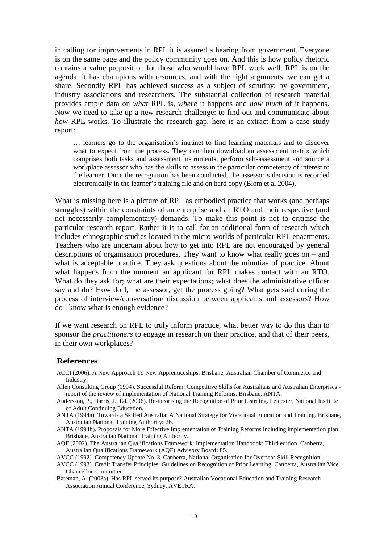in calling for improvements in RPL it is assured a hearing from government. Everyone is on the same page and the policy community goes on. And this is how policy rhetoric contains a value proposition for those who would have RPL work well. RPL is on the agenda: it has champions with resources, and with the right arguments, we can get a share. Secondly RPL has achieved success as a subject of scrutiny: by government, industry associations and researchers. The substantial collection of research material provides ample data on *what* RPL is, *where* it happens and *how much* of it happens. Now we need to take up a new research challenge: to find out and communicate about *how* RPL works. To illustrate the research gap, here is an extract from a case study report:

… learners go to the organisation's intranet to find learning materials and to discover what to expect from the process. They can then download an assessment matrix which comprises both tasks and assessment instruments, perform self-assessment and source a workplace assessor who has the skills to assess in the particular competency of interest to the learner. Once the recognition has been conducted, the assessor's decision is recorded electronically in the learner's training file and on hard copy (Blom et al 2004).

What is missing here is a picture of RPL as embodied practice that works (and perhaps struggles) within the constraints of an enterprise and an RTO and their respective (and not necessarily complementary) demands. To make this point is not to criticise the particular research report. Rather it is to call for an additional form of research which includes ethnographic studies located in the micro-worlds of particular RPL enactments. Teachers who are uncertain about how to get into RPL are not encouraged by general descriptions of organisation procedures. They want to know what really goes on – and what is acceptable practice. They ask questions about the minutiae of practice. About what happens from the moment an applicant for RPL makes contact with an RTO. What do they ask for; what are their expectations; what does the administrative officer say and do? How do I, the assessor, get the process going? What gets said during the process of interview/conversation/ discussion between applicants and assessors? How do I know what is enough evidence?

If we want research on RPL to truly inform practice, what better way to do this than to sponsor the *practitioners* to engage in research on their practice, and that of their peers, in their own workplaces?

#### **References**

- ACCI (2006). A New Approach To New Apprenticeships. Brisbane, Australian Chamber of Commerce and Industry.
- Allen Consulting Group (1994). Successful Reform: Competitive Skills for Australians and Australian Enterprises report of the review of implementation of National Training Reforms. Brisbane, ANTA.
- Andersson, P., Harris, J., Ed. (2006). Re-theorising the Recognition of Prior Learning. Leicester, National Institute of Adult Continuing Education.
- ANTA (1994a). Towards a Skilled Australia: A National Strategy for Vocational Education and Training. Brisbane, Australian National Training Authority**:** 26.
- ANTA (1994b). Proposals for More Effective Implementation of Training Reforms including implementation plan. Brisbane, Australian National Training Authority.
- AQF (2002). The Australian Qualifications Framework: Implementation Handbook: Third edition. Canberra, Australian Qualifications Framework (AQF) Advisory Board**:** 85.
- AVCC (1992). Competency Update No. 3. Canberra, National Organisation for Overseas Skill Recognition.
- AVCC (1993). Credit Transfer Principles: Guidelines on Recognition of Prior Learning. Canberra, Australian Vice Chancellor' Committee.
- Bateman, A. (2003a). Has RPL served its purpose? Australian Vocational Education and Training Research Association Annual Conference, Sydney, AVETRA.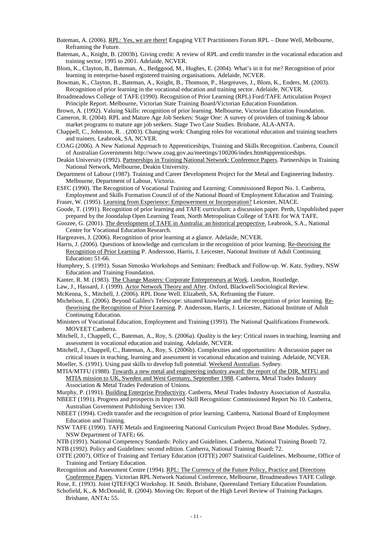- Bateman, A. (2006). RPL: Yes, we are there! Engaging VET Practitioners Forum RPL Done Well, Melbourne, Reframing the Future.
- Bateman, A., Knight, B. (2003b). Giving credit: A review of RPL and credit transfer in the vocational education and training sector, 1995 to 2001. Adelaide, NCVER.
- Blom, K., Clayton, B., Bateman, A., Bedggood, M., Hughes, E. (2004). What's in it for me? Recognition of prior learning in enterprise-based registered training organisations. Adelaide, NCVER.

Bowman, K., Clayton, B., Bateman, A., Knight, B., Thomson, P., Hargreaves, J., Blom, K., Enders, M. (2003). Recognition of prior learning in the vocational education and training sector. Adelaide, NCVER.

Broadmeadows College of TAFE (1990). Recognition of Prior Learning (RPL) Ford/TAFE Articulation Project Principle Report. Melbourne, Victorian State Training Board/Victorian Education Foundation.

Brown, A. (1992). Valuing Skills: recognition of prior learning. Melbourne, Victorian Education Foundation.

Cameron, R. (2004). RPL and Mature Age Job Seekers: Stage One: A survey of providers of training & labour market programs to mature age job seekers. Stage Two Case Studies. Brisbane, ALA-ANTA.

- Chappell, C., Johnston, R. . (2003). Changing work: Changing roles for vocational education and training teachers and trainers. Leabrook, SA, NCVER.
- COAG (2006). A New National Approach to Apprenticeships, Training and Skills Recognition. Canberra, Council of Australian Governments http://www.coag.gov.au/meetings/100206/index.htm#apprenticeships.
- Deakin University (1992). Partnerships in Training National Network: Conference Papers. Partnerships in Training National Network, Melbourne, Deakin University.
- Department of Labour (1987). Training and Career Development Project for the Metal and Engineering Industry. Melbourne, Department of Labour, Victoria.
- ESFC (1990). The Recognition of Vocational Training and Learning: Commissioned Report No. 1. Canberra, Employment and Skills Formation Council of of the National Board of Employment Education and Training.

Fraser, W. (1995). Learning from Experience: Empowerment or Incorporation? Leicester, NIACE.

- Goode, T. (1991). Recognition of prior learning and TAFE curriculum: a discussion paper. Perth, Unpublished paper prepared by the Joondalup Open Learning Team, North Metropolitan College of TAFE for WA TAFE.
- Goozee, G. (2001). The development of TAFE in Australia: an historical perspective. Leabrook, S.A., National Centre for Vocational Education Research.
- Hargreaves, J. (2006). Recognition of prior learning at a glance. Adelaide, NCVER.
- Harris, J. (2006). Questions of knowledge and curriculum in the recognition of prior learning. Re-theorising the Recognition of Prior Learning P. Andersson, Harris, J. Leicester, National Institute of Adult Continuing Education**:** 51-66.
- Humphrey, S. (1991). Susan Simosko Workshops and Seminars: Feedback and Follow-up. W. Katz. Sydney, NSW Education and Training Foundation.
- Kanter, R. M. (1983). The Change Masters: Corporate Entrepreneurs at Work. London, Routledge.
- Law, J., Hassard, J. (1999). Actor Network Theory and After. Oxford, Blackwell/Sociological Review.
- McKenna, S., Mitchell, J. (2006). RPL Done Well. Elizabeth, SA, Reframing the Future.

Michelson, E. (2006). Beyond Galileo's Telescope: situated knowledge and the recognition of prior learning. Retheorising the Recognition of Prior Learning. P. Andersson, Harris, J. Leicester, National Institute of Adult Continuing Education.

Ministers of Vocational Education, Employment and Training (1993). The National Qualifications Framework. MOVEET Canberra.

Mitchell, J., Chappell, C., Bateman, A., Roy, S. (2006a). Quality is the key: Critical issues in teaching, learning and assessment in vocational education and training. Adelaide, NCVER.

Mitchell, J., Chappell, C., Bateman, A., Roy, S. (2006b). Complexities and opportunities: A discussion paper on critical issues in teaching, learning and assessment in vocational education and training. Adelaide, NCVER. Moeller, S. (1991). Using past skills to develop full potential. Weekend Australian. Sydney.

MTIA/MTFU (1988). Towards a new metal and engineering industry award: the report of the DIR, MTFU and MTIA mission to UK, Sweden and West Germany, September 1988. Canberra, Metal Trades Industry Association & Metal Trades Federation of Unions.

Murphy, P. (1991). Building Enterprise Productivity. Canberra, Metal Trades Industry Association of Australia. NBEET (1991). Progress and prospects in Improved Skill Recognition: Commissioned Report No 10. Canberra,

Australian Government Publishing Service**:** 130. NBEET (1994). Credit transfer and the recognition of prior learning. Canberra, National Board of Employment Education and Training.

NSW TAFE (1990). TAFE Metals and Engineering National Curriculum Project Broad Base Modules. Sydney, NSW Department of TAFE**:** 66.

NTB (1991). National Competency Standards: Policy and Guidelines. Canberra, National Training Board**:** 72. NTB (1992). Policy and Guidelines: second edition. Canberra, National Training Board**:** 72.

OTTE (2007). Office of Training and Tertiary Education (OTTE) 2007 Statistical Guidelines. Melbourne, Office of Training and Tertiary Education.

Recognition and Assessment Centre (1994). RPL: The Currency of the Future Policy, Practice and Directions Conference Papers. Victorian RPL Network National Conference, Melbourne, Broadmeadows TAFE College.

Rose, E. (1993). Joint QTEF/QCI Workshop. H. Smith. Brisbane, Queensland Tertiary Education Foundation. Schofield, K., & McDonald, R. (2004). Moving On: Report of the High Level Review of Training Packages.

Brisbane, ANTA**:** 55.